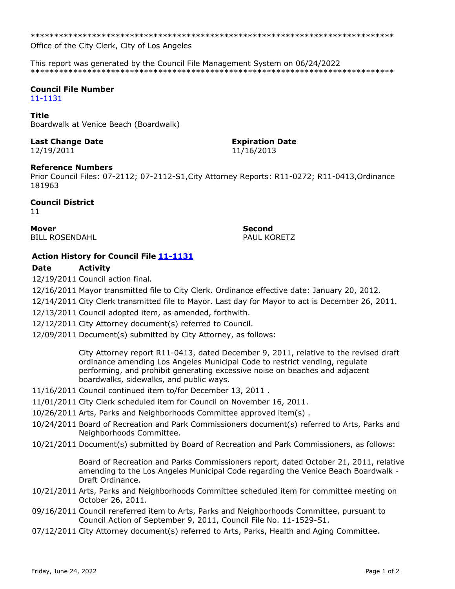\*\*\*\*\*\*\*\*\*\*\*\*\*\*\*\*\*\*\*\*\*\*\*\*\*\*\*\*\*\*\*\*\*\*\*\*\*\*\*\*\*\*\*\*\*\*\*\*\*\*\*\*\*\*\*\*\*\*\*\*\*\*\*\*\*\*\*\*\*\*\*\*\*\*\*\*\*

Office of the City Clerk, City of Los Angeles

This report was generated by the Council File Management System on 06/24/2022 \*\*\*\*\*\*\*\*\*\*\*\*\*\*\*\*\*\*\*\*\*\*\*\*\*\*\*\*\*\*\*\*\*\*\*\*\*\*\*\*\*\*\*\*\*\*\*\*\*\*\*\*\*\*\*\*\*\*\*\*\*\*\*\*\*\*\*\*\*\*\*\*\*\*\*\*\*

#### **Council File Number** [11-1131](https://cityclerk.lacity.org/lacityclerkconnect/index.cfm?fa=ccfi.viewrecord&cfnumber=11-1131)

#### **Title**

Boardwalk at Venice Beach (Boardwalk)

# **Last Change Date Expiration Date**

# 12/19/2011 11/16/2013

#### **Reference Numbers**

Prior Council Files: 07-2112; 07-2112-S1,City Attorney Reports: R11-0272; R11-0413,Ordinance 181963

#### **Council District**

11

**Mover Second** BILL ROSENDAHL **PAUL KORETZ** 

## **Action History for Council File [11-1131](https://cityclerk.lacity.org/lacityclerkconnect/index.cfm?fa=ccfi.viewrecord&cfnumber=11-1131)**

### **Date Activity**

12/19/2011 Council action final.

12/16/2011 Mayor transmitted file to City Clerk. Ordinance effective date: January 20, 2012.

- 12/14/2011 City Clerk transmitted file to Mayor. Last day for Mayor to act is December 26, 2011.
- 12/13/2011 Council adopted item, as amended, forthwith.
- 12/12/2011 City Attorney document(s) referred to Council.
- 12/09/2011 Document(s) submitted by City Attorney, as follows:

City Attorney report R11-0413, dated December 9, 2011, relative to the revised draft ordinance amending Los Angeles Municipal Code to restrict vending, regulate performing, and prohibit generating excessive noise on beaches and adjacent boardwalks, sidewalks, and public ways.

- 11/16/2011 Council continued item to/for December 13, 2011 .
- 11/01/2011 City Clerk scheduled item for Council on November 16, 2011.
- 10/26/2011 Arts, Parks and Neighborhoods Committee approved item(s) .
- 10/24/2011 Board of Recreation and Park Commissioners document(s) referred to Arts, Parks and Neighborhoods Committee.
- 10/21/2011 Document(s) submitted by Board of Recreation and Park Commissioners, as follows:

Board of Recreation and Parks Commissioners report, dated October 21, 2011, relative amending to the Los Angeles Municipal Code regarding the Venice Beach Boardwalk - Draft Ordinance.

- 10/21/2011 Arts, Parks and Neighborhoods Committee scheduled item for committee meeting on October 26, 2011.
- 09/16/2011 Council rereferred item to Arts, Parks and Neighborhoods Committee, pursuant to Council Action of September 9, 2011, Council File No. 11-1529-S1.
- 07/12/2011 City Attorney document(s) referred to Arts, Parks, Health and Aging Committee.